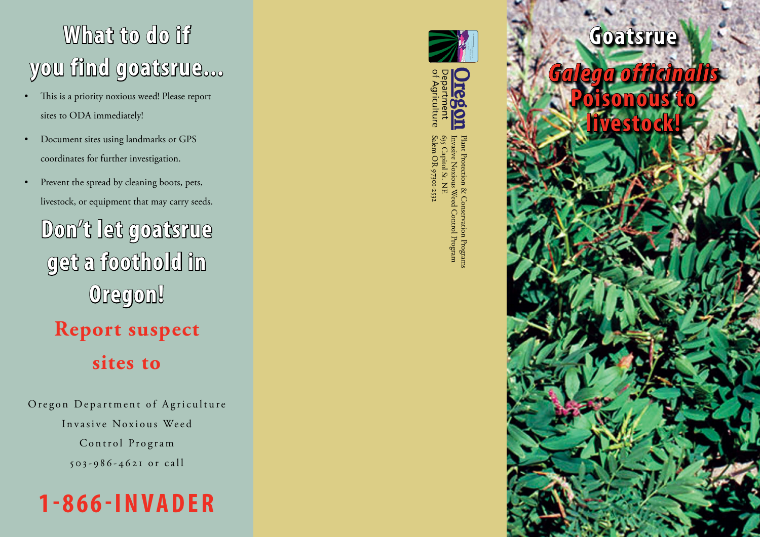## **What to do if you find goatsrue...**

- This is a priority noxious weed! Please report sites to ODA immediately!
- Document sites using landmarks or GPS coordinates for further investigation.
- Prevent the spread by cleaning boots, pets, livestock, or equipment that may carry seeds.

**Don't let goatsrue get a foothold in Oregon! Report suspect**

**sites to**

Oregon Department of Agriculture Invasive Noxious Weed Control Program 503-986-4621 or call







Plant Protection & Conservation Programs<br>Invasive Noxious Weed Control Program Salem OR 97301-253 Salem OR 97301-2532 635 Capitol St. NE 635 Capitol St. NE Invasive Noxious Weed Control Program Plant Protection & Conservation Programs